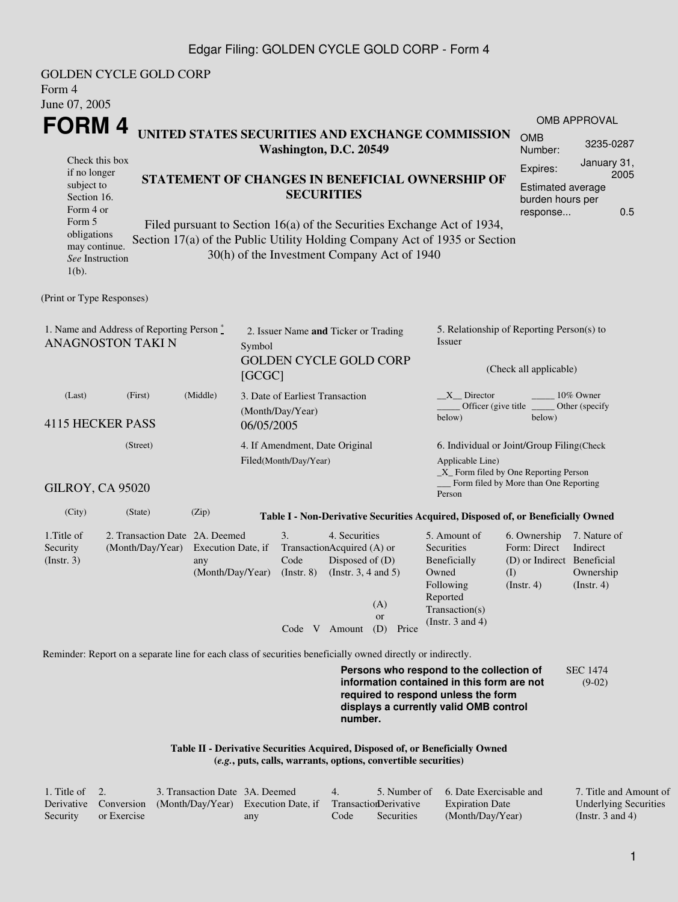## Edgar Filing: GOLDEN CYCLE GOLD CORP - Form 4

| Form 4<br>June 07, 2005                                                  | <b>GOLDEN CYCLE GOLD CORP</b>                                                                               |                                                                 |                                                                                              |                                                                                                         |                                                     |                                                                                   |                                                                                                                                                                         |                                                                                  |                                                           |  |  |
|--------------------------------------------------------------------------|-------------------------------------------------------------------------------------------------------------|-----------------------------------------------------------------|----------------------------------------------------------------------------------------------|---------------------------------------------------------------------------------------------------------|-----------------------------------------------------|-----------------------------------------------------------------------------------|-------------------------------------------------------------------------------------------------------------------------------------------------------------------------|----------------------------------------------------------------------------------|-----------------------------------------------------------|--|--|
| <b>FORM4</b>                                                             |                                                                                                             |                                                                 |                                                                                              |                                                                                                         |                                                     |                                                                                   |                                                                                                                                                                         |                                                                                  | <b>OMB APPROVAL</b>                                       |  |  |
|                                                                          |                                                                                                             |                                                                 |                                                                                              | Washington, D.C. 20549                                                                                  |                                                     |                                                                                   | UNITED STATES SECURITIES AND EXCHANGE COMMISSION                                                                                                                        | <b>OMB</b><br>Number:                                                            | 3235-0287                                                 |  |  |
| Check this box<br>if no longer<br>subject to<br>Section 16.<br>Form 4 or | STATEMENT OF CHANGES IN BENEFICIAL OWNERSHIP OF                                                             |                                                                 | <b>SECURITIES</b><br>Filed pursuant to Section 16(a) of the Securities Exchange Act of 1934, | Expires:<br>burden hours per<br>response                                                                | <b>Estimated average</b>                            | January 31,<br>2005<br>0.5                                                        |                                                                                                                                                                         |                                                                                  |                                                           |  |  |
| Form 5<br>obligations<br>may continue.<br>See Instruction<br>$1(b)$ .    | Section 17(a) of the Public Utility Holding Company Act of 1935 or Section                                  |                                                                 |                                                                                              |                                                                                                         |                                                     |                                                                                   |                                                                                                                                                                         |                                                                                  |                                                           |  |  |
| (Print or Type Responses)                                                |                                                                                                             |                                                                 |                                                                                              |                                                                                                         |                                                     |                                                                                   |                                                                                                                                                                         |                                                                                  |                                                           |  |  |
| 1. Name and Address of Reporting Person*<br><b>ANAGNOSTON TAKI N</b>     | Symbol                                                                                                      |                                                                 |                                                                                              | 2. Issuer Name and Ticker or Trading                                                                    | 5. Relationship of Reporting Person(s) to<br>Issuer |                                                                                   |                                                                                                                                                                         |                                                                                  |                                                           |  |  |
|                                                                          | [GCGC]                                                                                                      |                                                                 |                                                                                              | <b>GOLDEN CYCLE GOLD CORP</b>                                                                           | (Check all applicable)                              |                                                                                   |                                                                                                                                                                         |                                                                                  |                                                           |  |  |
| (Last)                                                                   | (First)                                                                                                     | (Middle)<br>3. Date of Earliest Transaction<br>(Month/Day/Year) |                                                                                              |                                                                                                         |                                                     |                                                                                   | $X$ Director<br>10% Owner<br>Officer (give title)<br>Other (specify<br>below)<br>below)                                                                                 |                                                                                  |                                                           |  |  |
| <b>4115 HECKER PASS</b>                                                  |                                                                                                             |                                                                 | 06/05/2005                                                                                   |                                                                                                         |                                                     |                                                                                   |                                                                                                                                                                         |                                                                                  |                                                           |  |  |
|                                                                          | 4. If Amendment, Date Original<br>Filed(Month/Day/Year)                                                     |                                                                 |                                                                                              | 6. Individual or Joint/Group Filing(Check<br>Applicable Line)<br>_X_ Form filed by One Reporting Person |                                                     |                                                                                   |                                                                                                                                                                         |                                                                                  |                                                           |  |  |
| GILROY, CA 95020                                                         |                                                                                                             |                                                                 |                                                                                              |                                                                                                         | Person                                              | Form filed by More than One Reporting                                             |                                                                                                                                                                         |                                                                                  |                                                           |  |  |
| (City)                                                                   | (State)                                                                                                     | (Zip)                                                           |                                                                                              |                                                                                                         |                                                     |                                                                                   | Table I - Non-Derivative Securities Acquired, Disposed of, or Beneficially Owned                                                                                        |                                                                                  |                                                           |  |  |
| 1. Title of<br>Security<br>$($ Instr. 3 $)$                              | 2. Transaction Date 2A. Deemed<br>(Month/Day/Year)                                                          | Execution Date, if<br>any<br>(Month/Day/Year)                   |                                                                                              | 3.<br>TransactionAcquired (A) or<br>Code<br>$($ Instr. $8)$<br>Code V Amount                            | 4. Securities                                       | Disposed of $(D)$<br>(Instr. $3, 4$ and $5$ )<br>(A)<br><b>or</b><br>(D)<br>Price | 5. Amount of<br>Securities<br>Beneficially<br>Owned<br>Following<br>Reported<br>Transaction(s)<br>(Instr. $3$ and $4$ )                                                 | 6. Ownership<br>Form: Direct<br>(D) or Indirect Beneficial<br>(I)<br>(Insert. 4) | 7. Nature of<br>Indirect<br>Ownership<br>$($ Instr. 4 $)$ |  |  |
|                                                                          | Reminder: Report on a separate line for each class of securities beneficially owned directly or indirectly. |                                                                 |                                                                                              |                                                                                                         |                                                     | number.                                                                           | Persons who respond to the collection of<br>information contained in this form are not<br>required to respond unless the form<br>displays a currently valid OMB control |                                                                                  | <b>SEC 1474</b><br>$(9-02)$                               |  |  |

**Table II - Derivative Securities Acquired, Disposed of, or Beneficially Owned (***e.g.***, puts, calls, warrants, options, convertible securities)**

| $\therefore$ Title of 2. |             | 3. Transaction Date 3A. Deemed                                                   |     | 4.   |            | 5. Number of 6. Date Exercisable and | 7. Title and Amount of |
|--------------------------|-------------|----------------------------------------------------------------------------------|-----|------|------------|--------------------------------------|------------------------|
|                          |             | Derivative Conversion (Month/Day/Year) Execution Date, if Transaction Derivative |     |      |            | <b>Expiration Date</b>               | Underlying Securities  |
| Security                 | or Exercise |                                                                                  | any | Code | Securities | (Month/Day/Year)                     | (Instr. 3 and 4)       |